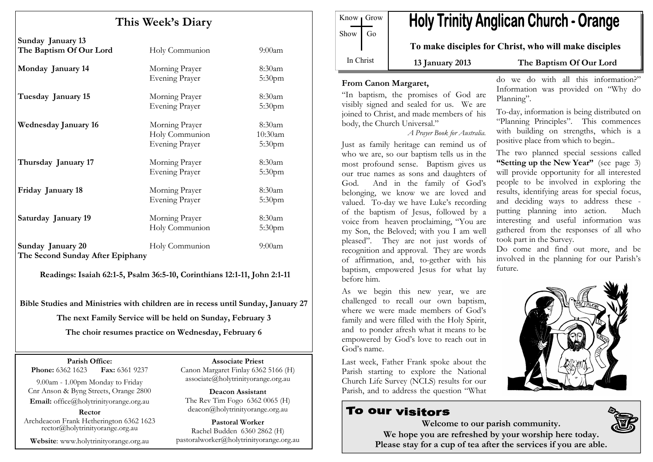# This Week's Diary

| Sunday January 13<br>The Baptism Of Our Lord          | Holy Communion                                            | $9:00$ am                                  |
|-------------------------------------------------------|-----------------------------------------------------------|--------------------------------------------|
| Monday January 14                                     | Morning Prayer<br><b>Evening Prayer</b>                   | $8:30$ am<br>5:30 <sub>pm</sub>            |
| Tuesday January 15                                    | Morning Prayer<br>Evening Prayer                          | $8:30$ am<br>5:30pm                        |
| <b>Wednesday January 16</b>                           | Morning Prayer<br>Holy Communion<br><b>Evening Prayer</b> | $8:30$ am<br>10:30am<br>5:30 <sub>pm</sub> |
| Thursday January 17                                   | Morning Prayer<br><b>Evening Prayer</b>                   | $8:30$ am<br>5:30 <sub>pm</sub>            |
| Friday January 18                                     | Morning Prayer<br><b>Evening Prayer</b>                   | $8:30$ am<br>5:30 <sub>pm</sub>            |
| Saturday January 19                                   | Morning Prayer<br>Holy Communion                          | $8:30$ am<br>5:30 <sub>pm</sub>            |
| Sunday January 20<br>The Second Sunday After Epiphany | Holy Communion                                            | $9:00$ am                                  |

Readings: Isaiah 62:1-5, Psalm 36:5-10, Corinthians 12:1-11, John 2:1-11

Bible Studies and Ministries with children are in recess until Sunday, January 27 The next Family Service will be held on Sunday, February 3 The choir resumes practice on Wednesday, February 6

Parish Office: Fax: 6361 9237 **Phone:** 6362 1623

9.00am - 1.00pm Monday to Friday Cnr Anson & Byng Streets, Orange 2800 Email: office@holytrinityorange.org.au

Rector

Archdeacon Frank Hetherington 6362 1623 rector@holytrinityorange.org.au

Website: www.holytrinityorange.org.au

Associate Priest

 Canon Margaret Finlay 6362 5166 (H) associate@holytrinityorange.org.au

Deacon Assistant The Rev Tim Fogo 6362 0065 (H) deacon@holytrinityorange.org.au

Pastoral Worker Rachel Budden 6360 2862 (H) pastoralworker@holytrinityorange.org.au

**Holy Trinity Anglican Church - Orange** Know Grow Show  $\log$ To make disciples for Christ, who will make disciples In Christ 13 January 2013 The Baptism Of Our Lord

#### From Canon Margaret,

"In baptism, the promises of God are visibly signed and sealed for us. We are joined to Christ, and made members of his body, the Church Universal."

A Prayer Book for Australia.

Just as family heritage can remind us of who we are, so our baptism tells us in the most profound sense. Baptism gives us our true names as sons and daughters of God. And in the family of God's belonging, we know we are loved and valued. To-day we have Luke's recording of the baptism of Jesus, followed by a voice from heaven proclaiming, "You are my Son, the Beloved; with you I am well pleased". They are not just words of recognition and approval. They are words of affirmation, and, to-gether with his baptism, empowered Jesus for what lay before him.

As we begin this new year, we are challenged to recall our own baptism, where we were made members of God's family and were filled with the Holy Spirit, and to ponder afresh what it means to be empowered by God's love to reach out in God's name.

Last week, Father Frank spoke about the Parish starting to explore the National Church Life Survey (NCLS) results for our Parish, and to address the question "What

## To our visitors

do we do with all this information?" Information was provided on "Why do Planning".

To-day, information is being distributed on "Planning Principles". This commences with building on strengths, which is a positive place from which to begin..

The two planned special sessions called "Setting up the New Year" (see page 3) will provide opportunity for all interested people to be involved in exploring the results, identifying areas for special focus, and deciding ways to address these putting planning into action. Much interesting and useful information was gathered from the responses of all who took part in the Survey.

Do come and find out more, and be involved in the planning for our Parish's future.



Welcome to our parish community. We hope you are refreshed by your worship here today. Please stay for a cup of tea after the services if you are able.